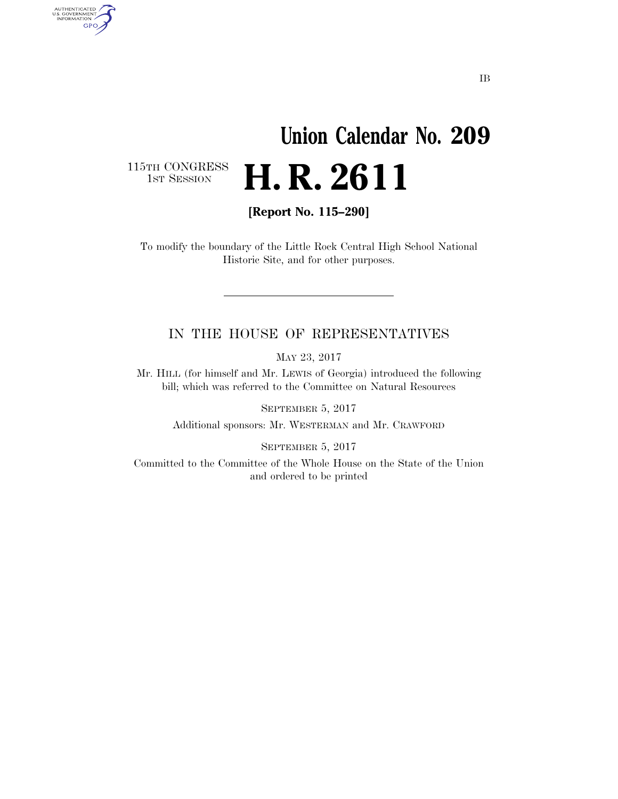## **Union Calendar No. 209 H. R. 2611**

115TH CONGRESS<br>1st Session

AUTHENTICATED<br>U.S. GOVERNMENT<br>INFORMATION GPO

**[Report No. 115–290]** 

To modify the boundary of the Little Rock Central High School National Historic Site, and for other purposes.

## IN THE HOUSE OF REPRESENTATIVES

MAY 23, 2017

Mr. HILL (for himself and Mr. LEWIS of Georgia) introduced the following bill; which was referred to the Committee on Natural Resources

SEPTEMBER 5, 2017 Additional sponsors: Mr. WESTERMAN and Mr. CRAWFORD

SEPTEMBER 5, 2017

Committed to the Committee of the Whole House on the State of the Union and ordered to be printed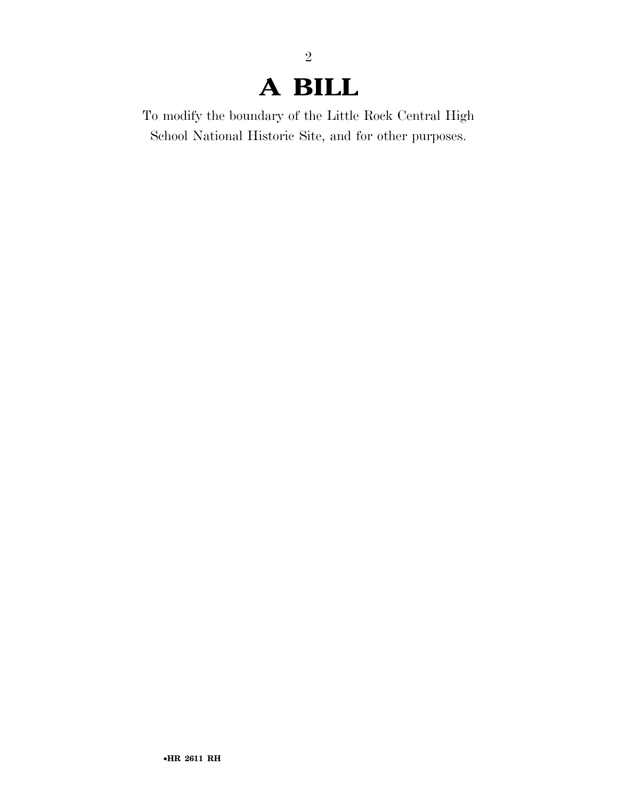## **A BILL**

2

To modify the boundary of the Little Rock Central High School National Historic Site, and for other purposes.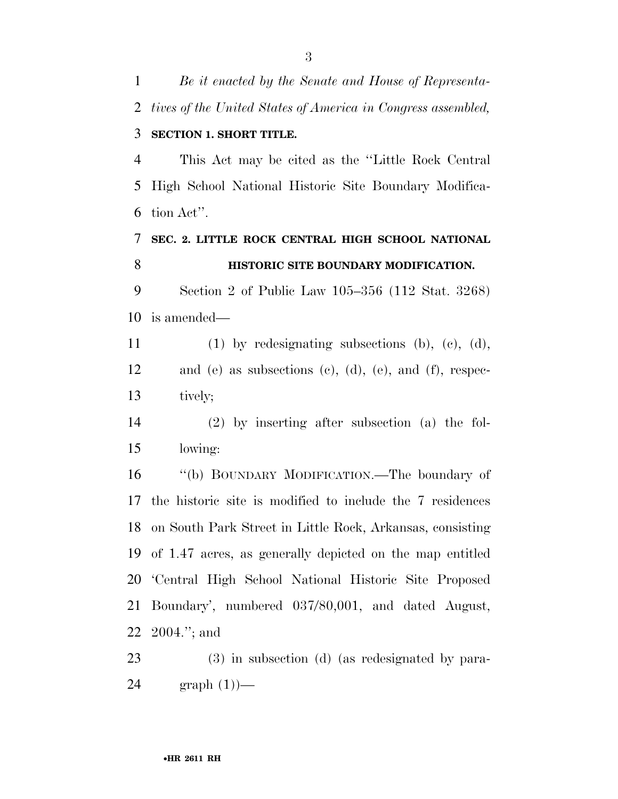*tives of the United States of America in Congress assembled,*  **SECTION 1. SHORT TITLE.**  This Act may be cited as the ''Little Rock Central High School National Historic Site Boundary Modifica- tion Act''. **SEC. 2. LITTLE ROCK CENTRAL HIGH SCHOOL NATIONAL HISTORIC SITE BOUNDARY MODIFICATION.**  Section 2 of Public Law 105–356 (112 Stat. 3268) is amended— (1) by redesignating subsections (b), (c), (d), and (e) as subsections (c), (d), (e), and (f), respec- tively; (2) by inserting after subsection (a) the fol- lowing: ''(b) BOUNDARY MODIFICATION.—The boundary of the historic site is modified to include the 7 residences on South Park Street in Little Rock, Arkansas, consisting of 1.47 acres, as generally depicted on the map entitled 'Central High School National Historic Site Proposed Boundary', numbered 037/80,001, and dated August, 2004.''; and

 (3) in subsection (d) (as redesignated by para-graph (1))—

*Be it enacted by the Senate and House of Representa-*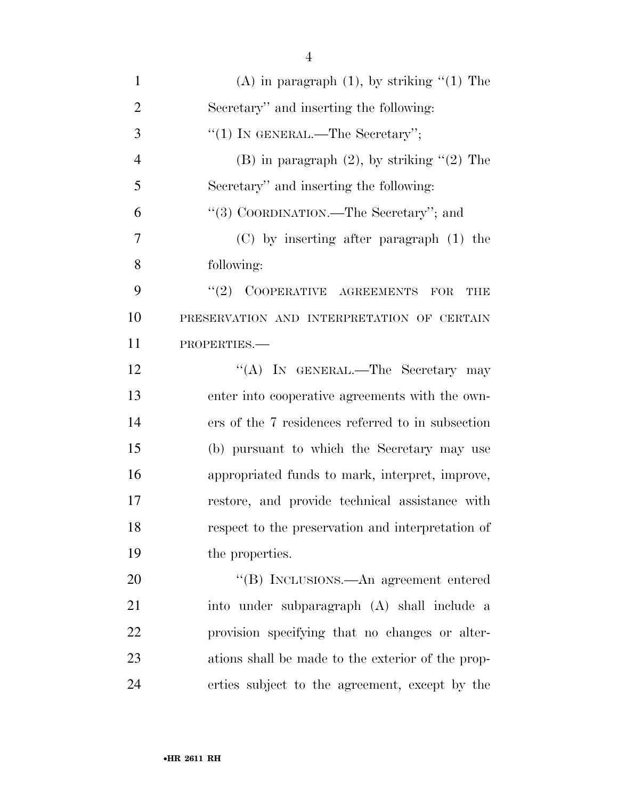| $\mathbf{1}$   | (A) in paragraph $(1)$ , by striking " $(1)$ The  |
|----------------|---------------------------------------------------|
| $\overline{2}$ | Secretary" and inserting the following:           |
| 3              | "(1) IN GENERAL.—The Secretary";                  |
| $\overline{4}$ | (B) in paragraph $(2)$ , by striking " $(2)$ The  |
| 5              | Secretary" and inserting the following:           |
| 6              | "(3) COORDINATION.—The Secretary"; and            |
| 7              | $(C)$ by inserting after paragraph $(1)$ the      |
| 8              | following:                                        |
| 9              | $"(2)$ COOPERATIVE AGREEMENTS FOR<br>THE          |
| 10             | PRESERVATION AND INTERPRETATION OF CERTAIN        |
| 11             | PROPERTIES.                                       |
| 12             | "(A) IN GENERAL.—The Secretary may                |
| 13             | enter into cooperative agreements with the own-   |
| 14             | ers of the 7 residences referred to in subsection |
| 15             | (b) pursuant to which the Secretary may use       |
| 16             | appropriated funds to mark, interpret, improve,   |
| 17             | restore, and provide technical assistance with    |
| 18             | respect to the preservation and interpretation of |
| 19             | the properties.                                   |
| 20             | "(B) INCLUSIONS.—An agreement entered             |
| 21             | into under subparagraph (A) shall include a       |
| 22             | provision specifying that no changes or alter-    |
| 23             | ations shall be made to the exterior of the prop- |
| 24             | erties subject to the agreement, except by the    |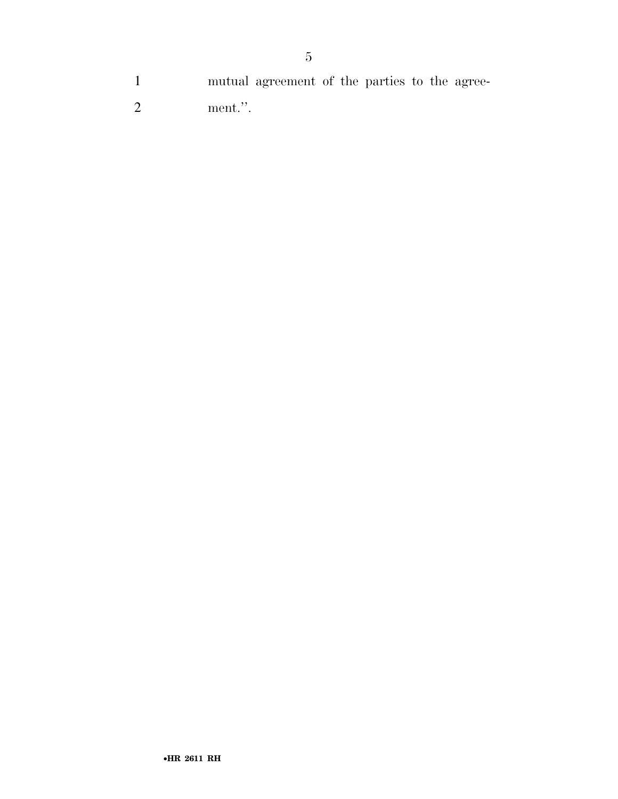mutual agreement of the parties to the agree-

ment.''.